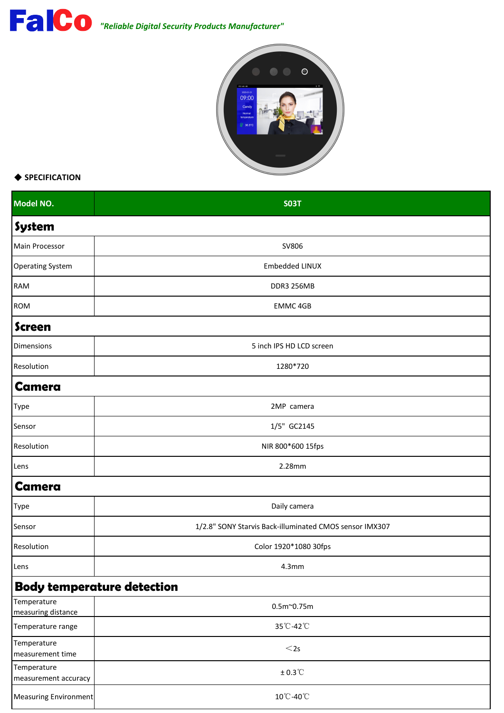

## ◆ **SPECIFICATION**

| Model NO.                           | <b>SO3T</b>                                             |  |
|-------------------------------------|---------------------------------------------------------|--|
| System                              |                                                         |  |
| Main Processor                      | SV806                                                   |  |
| <b>Operating System</b>             | Embedded LINUX                                          |  |
| RAM                                 | DDR3 256MB                                              |  |
| <b>ROM</b>                          | EMMC 4GB                                                |  |
| <b>Screen</b>                       |                                                         |  |
| Dimensions                          | 5 inch IPS HD LCD screen                                |  |
| Resolution                          | 1280*720                                                |  |
| <b>Camera</b>                       |                                                         |  |
| Type                                | 2MP camera                                              |  |
| Sensor                              | 1/5" GC2145                                             |  |
| Resolution                          | NIR 800*600 15fps                                       |  |
| Lens                                | 2.28mm                                                  |  |
| <b>Camera</b>                       |                                                         |  |
| Type                                | Daily camera                                            |  |
| Sensor                              | 1/2.8" SONY Starvis Back-illuminated CMOS sensor IMX307 |  |
| Resolution                          | Color 1920*1080 30fps                                   |  |
| Lens                                | 4.3 <sub>mm</sub>                                       |  |
|                                     | <b>Body temperature detection</b>                       |  |
| Temperature<br>measuring distance   | $0.5m^{\sim}0.75m$                                      |  |
| Temperature range                   | 35°C-42°C                                               |  |
| Temperature<br>measurement time     | $<$ 2s                                                  |  |
| Temperature<br>measurement accuracy | $± 0.3$ °C                                              |  |
| Measuring Environment               | 10°C-40°C                                               |  |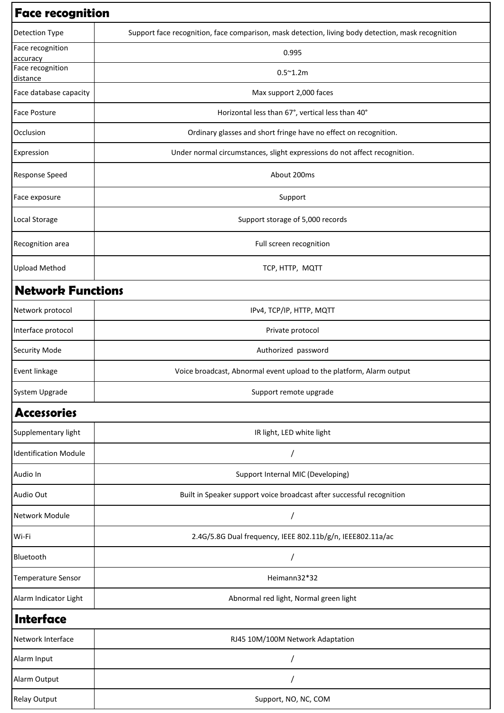| <b>Face recognition</b>      |                                                                                                    |  |
|------------------------------|----------------------------------------------------------------------------------------------------|--|
| Detection Type               | Support face recognition, face comparison, mask detection, living body detection, mask recognition |  |
| Face recognition<br>accuracy | 0.995                                                                                              |  |
| Face recognition<br>distance | $0.5^{\sim}1.2m$                                                                                   |  |
| Face database capacity       | Max support 2,000 faces                                                                            |  |
| <b>Face Posture</b>          | Horizontal less than 67°, vertical less than 40°                                                   |  |
| Occlusion                    | Ordinary glasses and short fringe have no effect on recognition.                                   |  |
| Expression                   | Under normal circumstances, slight expressions do not affect recognition.                          |  |
| <b>Response Speed</b>        | About 200ms                                                                                        |  |
| Face exposure                | Support                                                                                            |  |
| Local Storage                | Support storage of 5,000 records                                                                   |  |
| Recognition area             | Full screen recognition                                                                            |  |
| <b>Upload Method</b>         | TCP, HTTP, MQTT                                                                                    |  |
| <b>Network Functions</b>     |                                                                                                    |  |
| Network protocol             | IPv4, TCP/IP, HTTP, MQTT                                                                           |  |
| Interface protocol           | Private protocol                                                                                   |  |
| <b>Security Mode</b>         | Authorized password                                                                                |  |
| Event linkage                | Voice broadcast, Abnormal event upload to the platform, Alarm output                               |  |
| System Upgrade               | Support remote upgrade                                                                             |  |
| <b>Accessories</b>           |                                                                                                    |  |
| Supplementary light          | IR light, LED white light                                                                          |  |
| <b>Identification Module</b> |                                                                                                    |  |
| Audio In                     | Support Internal MIC (Developing)                                                                  |  |
| Audio Out                    | Built in Speaker support voice broadcast after successful recognition                              |  |
| Network Module               |                                                                                                    |  |
| Wi-Fi                        | 2.4G/5.8G Dual frequency, IEEE 802.11b/g/n, IEEE802.11a/ac                                         |  |
| Bluetooth                    |                                                                                                    |  |
| Temperature Sensor           | Heimann32*32                                                                                       |  |
| Alarm Indicator Light        | Abnormal red light, Normal green light                                                             |  |
| Interface                    |                                                                                                    |  |
| Network Interface            | RJ45 10M/100M Network Adaptation                                                                   |  |
| Alarm Input                  |                                                                                                    |  |
| Alarm Output                 |                                                                                                    |  |
| <b>Relay Output</b>          | Support, NO, NC, COM                                                                               |  |